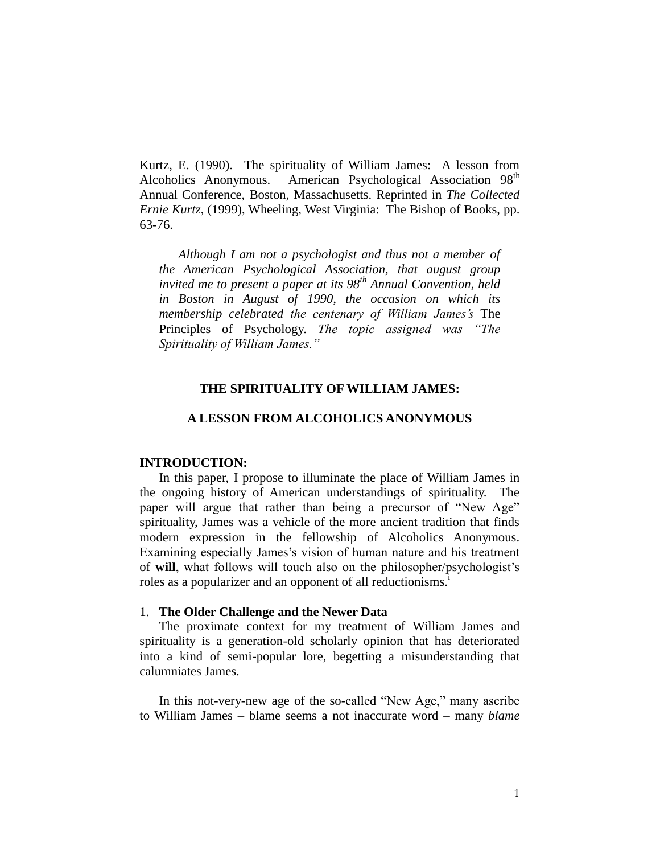Kurtz, E. (1990). The spirituality of William James: A lesson from Alcoholics Anonymous. American Psychological Association 98<sup>th</sup> Annual Conference, Boston, Massachusetts. Reprinted in *The Collected Ernie Kurtz*, (1999), Wheeling, West Virginia: The Bishop of Books, pp. 63-76.

*Although I am not a psychologist and thus not a member of the American Psychological Association, that august group invited me to present a paper at its 98th Annual Convention, held in Boston in August of 1990, the occasion on which its membership celebrated the centenary of William James's* The Principles of Psychology. *The topic assigned was "The Spirituality of William James."*

# **THE SPIRITUALITY OF WILLIAM JAMES:**

#### **A LESSON FROM ALCOHOLICS ANONYMOUS**

# **INTRODUCTION:**

In this paper, I propose to illuminate the place of William James in the ongoing history of American understandings of spirituality. The paper will argue that rather than being a precursor of "New Age" spirituality, James was a vehicle of the more ancient tradition that finds modern expression in the fellowship of Alcoholics Anonymous. Examining especially James's vision of human nature and his treatment of **will**, what follows will touch also on the philosopher/psychologist's roles as a popularizer and an opponent of all reductionisms.<sup>1</sup>

### 1. **The Older Challenge and the Newer Data**

The proximate context for my treatment of William James and spirituality is a generation-old scholarly opinion that has deteriorated into a kind of semi-popular lore, begetting a misunderstanding that calumniates James.

In this not-very-new age of the so-called "New Age," many ascribe to William James – blame seems a not inaccurate word – many *blame*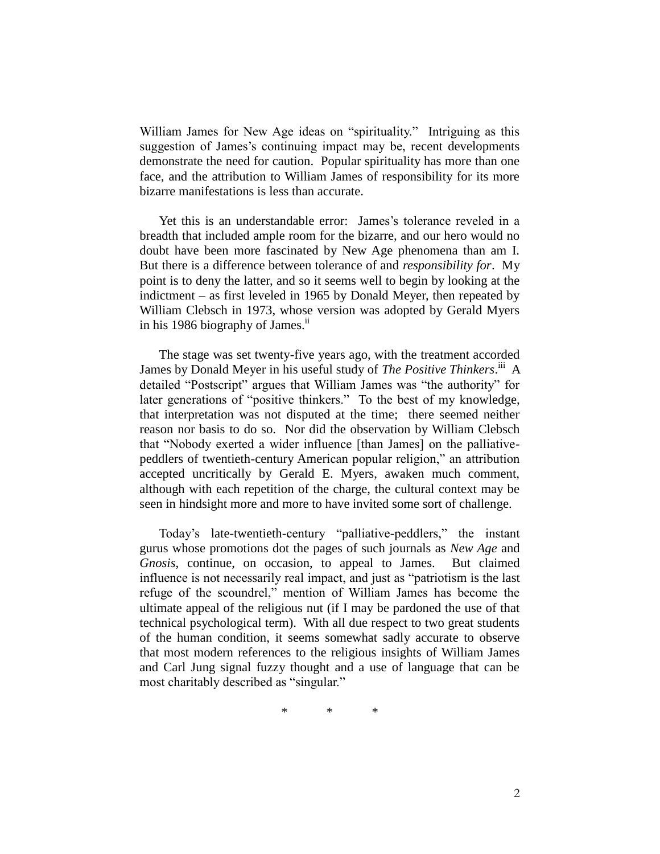William James for New Age ideas on "spirituality." Intriguing as this suggestion of James's continuing impact may be, recent developments demonstrate the need for caution. Popular spirituality has more than one face, and the attribution to William James of responsibility for its more bizarre manifestations is less than accurate.

Yet this is an understandable error: James's tolerance reveled in a breadth that included ample room for the bizarre, and our hero would no doubt have been more fascinated by New Age phenomena than am I. But there is a difference between tolerance of and *responsibility for*. My point is to deny the latter, and so it seems well to begin by looking at the indictment – as first leveled in 1965 by Donald Meyer, then repeated by William Clebsch in 1973, whose version was adopted by Gerald Myers in his 1986 biography of James.<sup>ii</sup>

The stage was set twenty-five years ago, with the treatment accorded James by Donald Meyer in his useful study of *The Positive Thinkers*.<sup>iii</sup> A detailed "Postscript" argues that William James was "the authority" for later generations of "positive thinkers." To the best of my knowledge, that interpretation was not disputed at the time; there seemed neither reason nor basis to do so. Nor did the observation by William Clebsch that "Nobody exerted a wider influence [than James] on the palliativepeddlers of twentieth-century American popular religion," an attribution accepted uncritically by Gerald E. Myers, awaken much comment, although with each repetition of the charge, the cultural context may be seen in hindsight more and more to have invited some sort of challenge.

Today's late-twentieth-century "palliative-peddlers," the instant gurus whose promotions dot the pages of such journals as *New Age* and *Gnosis*, continue, on occasion, to appeal to James. But claimed influence is not necessarily real impact, and just as "patriotism is the last refuge of the scoundrel," mention of William James has become the ultimate appeal of the religious nut (if I may be pardoned the use of that technical psychological term). With all due respect to two great students of the human condition, it seems somewhat sadly accurate to observe that most modern references to the religious insights of William James and Carl Jung signal fuzzy thought and a use of language that can be most charitably described as "singular."

\* \* \*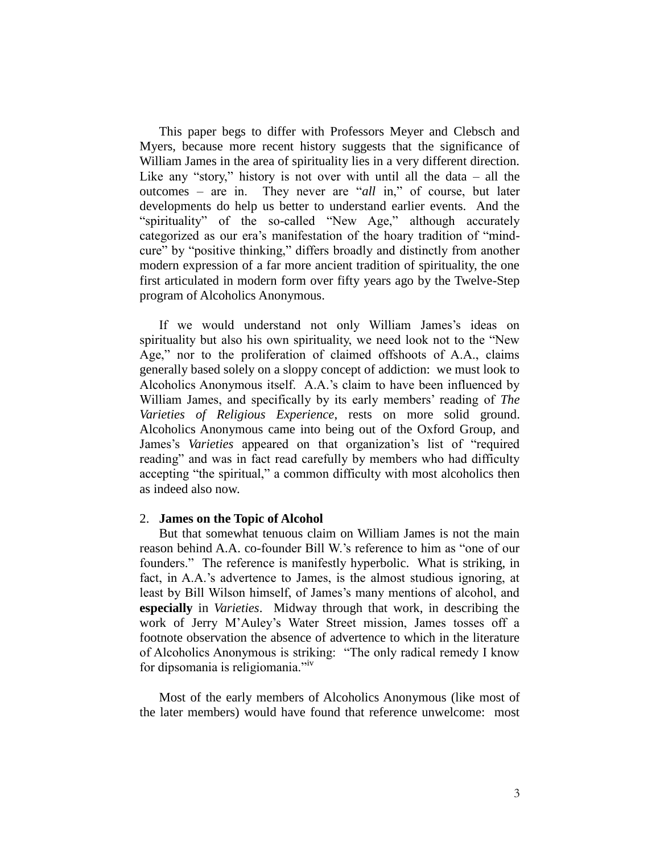This paper begs to differ with Professors Meyer and Clebsch and Myers, because more recent history suggests that the significance of William James in the area of spirituality lies in a very different direction. Like any "story," history is not over with until all the data  $-$  all the outcomes – are in. They never are "*all* in," of course, but later developments do help us better to understand earlier events. And the "spirituality" of the so-called "New Age," although accurately categorized as our era's manifestation of the hoary tradition of "mindcure" by "positive thinking," differs broadly and distinctly from another modern expression of a far more ancient tradition of spirituality, the one first articulated in modern form over fifty years ago by the Twelve-Step program of Alcoholics Anonymous.

If we would understand not only William James's ideas on spirituality but also his own spirituality, we need look not to the "New Age," nor to the proliferation of claimed offshoots of A.A., claims generally based solely on a sloppy concept of addiction: we must look to Alcoholics Anonymous itself. A.A.'s claim to have been influenced by William James, and specifically by its early members' reading of *The Varieties of Religious Experience*, rests on more solid ground. Alcoholics Anonymous came into being out of the Oxford Group, and James's *Varieties* appeared on that organization's list of "required reading" and was in fact read carefully by members who had difficulty accepting "the spiritual," a common difficulty with most alcoholics then as indeed also now.

### 2. **James on the Topic of Alcohol**

But that somewhat tenuous claim on William James is not the main reason behind A.A. co-founder Bill W.'s reference to him as "one of our founders." The reference is manifestly hyperbolic. What is striking, in fact, in A.A.'s advertence to James, is the almost studious ignoring, at least by Bill Wilson himself, of James's many mentions of alcohol, and **especially** in *Varieties*. Midway through that work, in describing the work of Jerry M'Auley's Water Street mission, James tosses off a footnote observation the absence of advertence to which in the literature of Alcoholics Anonymous is striking: "The only radical remedy I know for dipsomania is religiomania."iv

Most of the early members of Alcoholics Anonymous (like most of the later members) would have found that reference unwelcome: most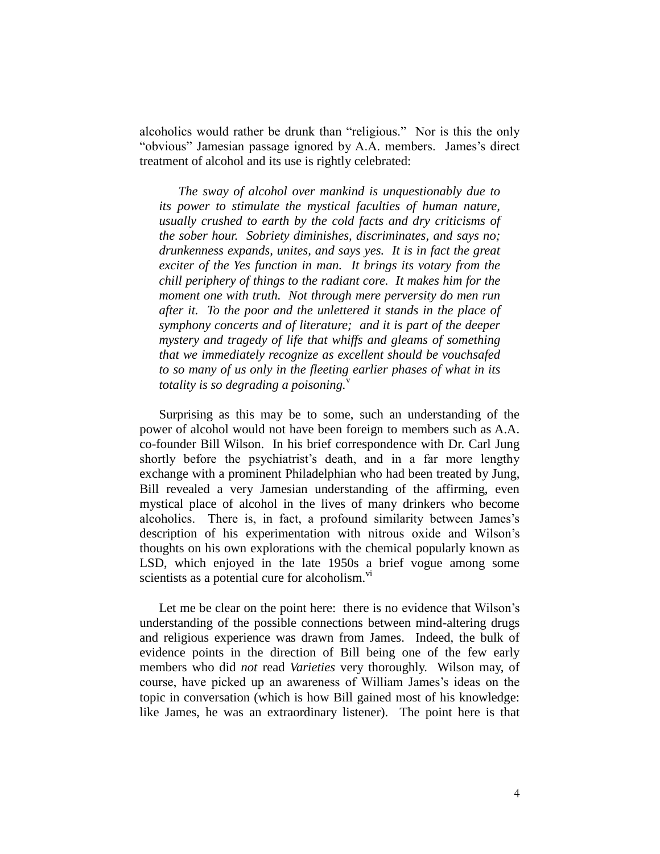alcoholics would rather be drunk than "religious." Nor is this the only "obvious" Jamesian passage ignored by A.A. members. James's direct treatment of alcohol and its use is rightly celebrated:

*The sway of alcohol over mankind is unquestionably due to its power to stimulate the mystical faculties of human nature, usually crushed to earth by the cold facts and dry criticisms of the sober hour. Sobriety diminishes, discriminates, and says no; drunkenness expands, unites, and says yes. It is in fact the great exciter of the Yes function in man. It brings its votary from the chill periphery of things to the radiant core. It makes him for the moment one with truth. Not through mere perversity do men run after it. To the poor and the unlettered it stands in the place of symphony concerts and of literature; and it is part of the deeper mystery and tragedy of life that whiffs and gleams of something that we immediately recognize as excellent should be vouchsafed to so many of us only in the fleeting earlier phases of what in its totality is so degrading a poisoning.*<sup>v</sup>

Surprising as this may be to some, such an understanding of the power of alcohol would not have been foreign to members such as A.A. co-founder Bill Wilson. In his brief correspondence with Dr. Carl Jung shortly before the psychiatrist's death, and in a far more lengthy exchange with a prominent Philadelphian who had been treated by Jung, Bill revealed a very Jamesian understanding of the affirming, even mystical place of alcohol in the lives of many drinkers who become alcoholics. There is, in fact, a profound similarity between James's description of his experimentation with nitrous oxide and Wilson's thoughts on his own explorations with the chemical popularly known as LSD, which enjoyed in the late 1950s a brief vogue among some scientists as a potential cure for alcoholism.<sup>vi</sup>

Let me be clear on the point here: there is no evidence that Wilson's understanding of the possible connections between mind-altering drugs and religious experience was drawn from James. Indeed, the bulk of evidence points in the direction of Bill being one of the few early members who did *not* read *Varieties* very thoroughly. Wilson may, of course, have picked up an awareness of William James's ideas on the topic in conversation (which is how Bill gained most of his knowledge: like James, he was an extraordinary listener). The point here is that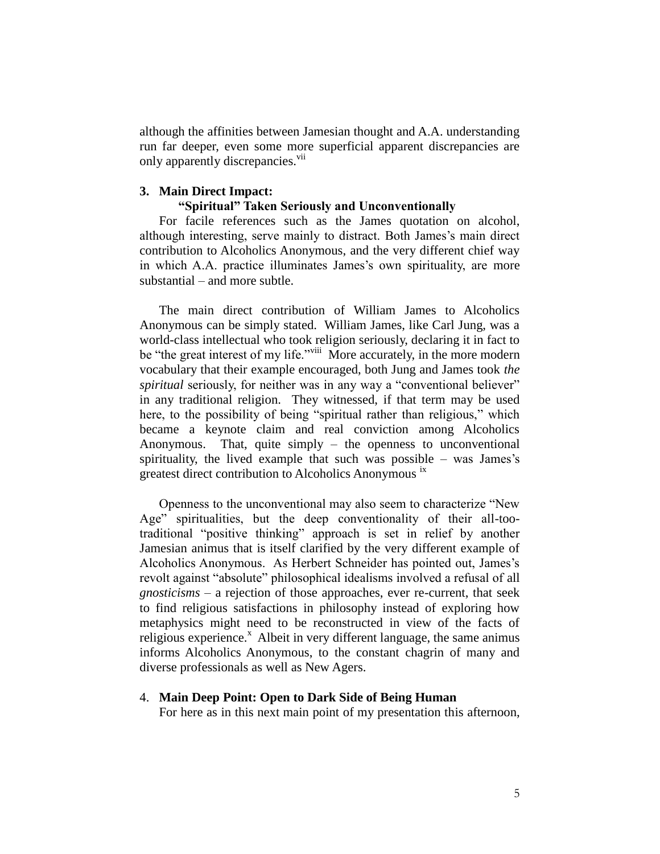although the affinities between Jamesian thought and A.A. understanding run far deeper, even some more superficial apparent discrepancies are only apparently discrepancies.<sup>vii</sup>

## **3. Main Direct Impact:**

## **"Spiritual" Taken Seriously and Unconventionally**

For facile references such as the James quotation on alcohol, although interesting, serve mainly to distract. Both James's main direct contribution to Alcoholics Anonymous, and the very different chief way in which A.A. practice illuminates James's own spirituality, are more substantial – and more subtle.

The main direct contribution of William James to Alcoholics Anonymous can be simply stated. William James, like Carl Jung, was a world-class intellectual who took religion seriously, declaring it in fact to be "the great interest of my life."<sup>viii</sup> More accurately, in the more modern vocabulary that their example encouraged, both Jung and James took *the spiritual* seriously, for neither was in any way a "conventional believer" in any traditional religion. They witnessed, if that term may be used here, to the possibility of being "spiritual rather than religious," which became a keynote claim and real conviction among Alcoholics Anonymous. That, quite simply – the openness to unconventional spirituality, the lived example that such was possible – was James's greatest direct contribution to Alcoholics Anonymous ix

Openness to the unconventional may also seem to characterize "New Age" spiritualities, but the deep conventionality of their all-tootraditional "positive thinking" approach is set in relief by another Jamesian animus that is itself clarified by the very different example of Alcoholics Anonymous. As Herbert Schneider has pointed out, James's revolt against "absolute" philosophical idealisms involved a refusal of all *gnosticisms* – a rejection of those approaches, ever re-current, that seek to find religious satisfactions in philosophy instead of exploring how metaphysics might need to be reconstructed in view of the facts of religious experience.<sup>x</sup> Albeit in very different language, the same animus informs Alcoholics Anonymous, to the constant chagrin of many and diverse professionals as well as New Agers.

#### 4. **Main Deep Point: Open to Dark Side of Being Human**

For here as in this next main point of my presentation this afternoon,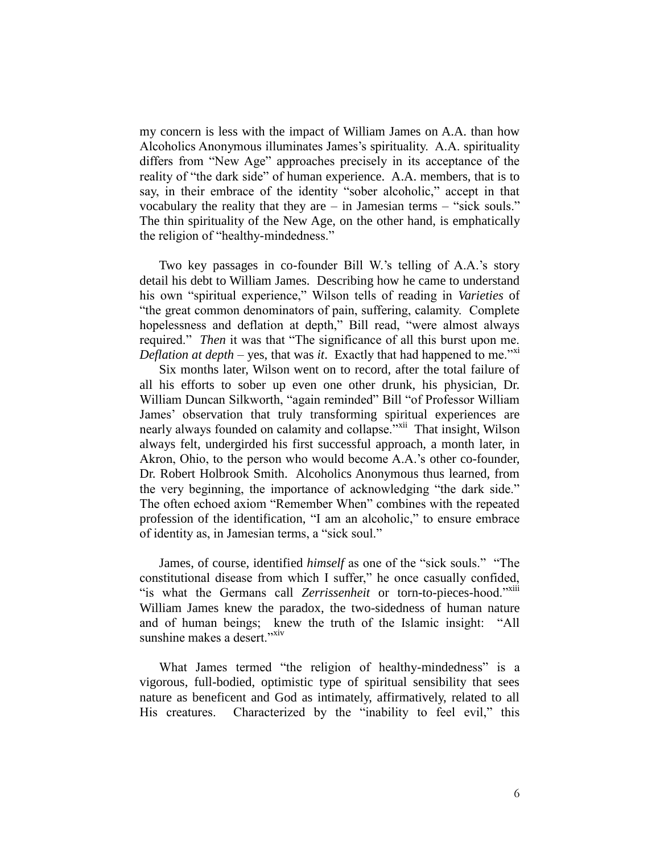my concern is less with the impact of William James on A.A. than how Alcoholics Anonymous illuminates James's spirituality. A.A. spirituality differs from "New Age" approaches precisely in its acceptance of the reality of "the dark side" of human experience. A.A. members, that is to say, in their embrace of the identity "sober alcoholic," accept in that vocabulary the reality that they are – in Jamesian terms – "sick souls." The thin spirituality of the New Age, on the other hand, is emphatically the religion of "healthy-mindedness."

Two key passages in co-founder Bill W.'s telling of A.A.'s story detail his debt to William James. Describing how he came to understand his own "spiritual experience," Wilson tells of reading in *Varieties* of "the great common denominators of pain, suffering, calamity. Complete hopelessness and deflation at depth," Bill read, "were almost always required." *Then* it was that "The significance of all this burst upon me. *Deflation at depth* – yes, that was *it*. Exactly that had happened to me."<sup>xi</sup>

Six months later, Wilson went on to record, after the total failure of all his efforts to sober up even one other drunk, his physician, Dr. William Duncan Silkworth, "again reminded" Bill "of Professor William James' observation that truly transforming spiritual experiences are nearly always founded on calamity and collapse."<sup>xii</sup> That insight, Wilson always felt, undergirded his first successful approach, a month later, in Akron, Ohio, to the person who would become A.A.'s other co-founder, Dr. Robert Holbrook Smith. Alcoholics Anonymous thus learned, from the very beginning, the importance of acknowledging "the dark side." The often echoed axiom "Remember When" combines with the repeated profession of the identification, "I am an alcoholic," to ensure embrace of identity as, in Jamesian terms, a "sick soul."

James, of course, identified *himself* as one of the "sick souls." "The constitutional disease from which I suffer," he once casually confided, "is what the Germans call *Zerrissenheit* or torn-to-pieces-hood."<sup>xiii</sup> William James knew the paradox, the two-sidedness of human nature and of human beings; knew the truth of the Islamic insight: "All sunshine makes a desert."<sup>xiv</sup>

What James termed "the religion of healthy-mindedness" is a vigorous, full-bodied, optimistic type of spiritual sensibility that sees nature as beneficent and God as intimately, affirmatively, related to all His creatures. Characterized by the "inability to feel evil," this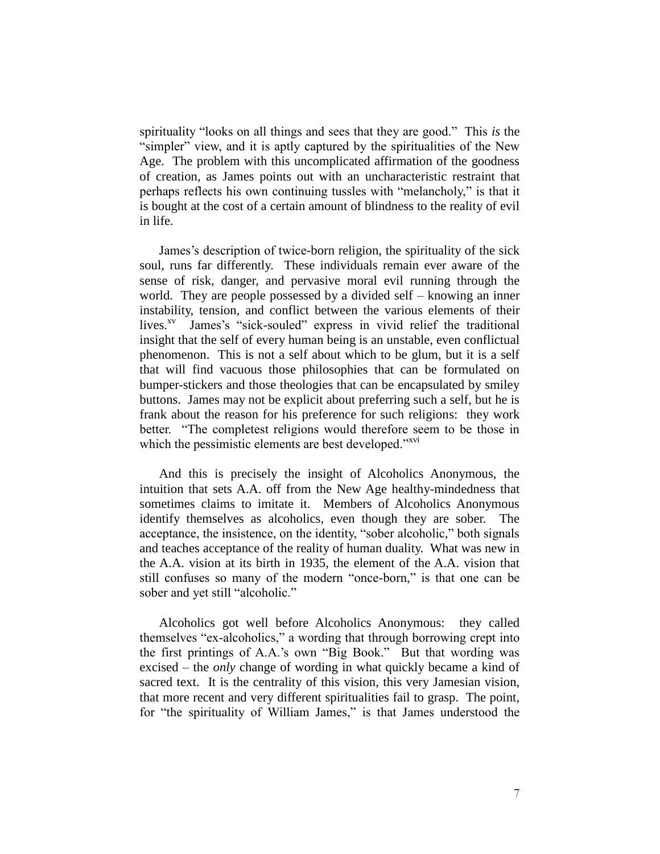spirituality "looks on all things and sees that they are good." This *is* the "simpler" view, and it is aptly captured by the spiritualities of the New Age. The problem with this uncomplicated affirmation of the goodness of creation, as James points out with an uncharacteristic restraint that perhaps reflects his own continuing tussles with "melancholy," is that it is bought at the cost of a certain amount of blindness to the reality of evil in life.

James's description of twice-born religion, the spirituality of the sick soul, runs far differently. These individuals remain ever aware of the sense of risk, danger, and pervasive moral evil running through the world. They are people possessed by a divided self – knowing an inner instability, tension, and conflict between the various elements of their lives.<sup>xv</sup> James's "sick-souled" express in vivid relief the traditional insight that the self of every human being is an unstable, even conflictual phenomenon. This is not a self about which to be glum, but it is a self that will find vacuous those philosophies that can be formulated on bumper-stickers and those theologies that can be encapsulated by smiley buttons. James may not be explicit about preferring such a self, but he is frank about the reason for his preference for such religions: they work better. "The completest religions would therefore seem to be those in which the pessimistic elements are best developed."<sup>xvi</sup>

And this is precisely the insight of Alcoholics Anonymous, the intuition that sets A.A. off from the New Age healthy-mindedness that sometimes claims to imitate it. Members of Alcoholics Anonymous identify themselves as alcoholics, even though they are sober. The acceptance, the insistence, on the identity, "sober alcoholic," both signals and teaches acceptance of the reality of human duality. What was new in the A.A. vision at its birth in 1935, the element of the A.A. vision that still confuses so many of the modern "once-born," is that one can be sober and yet still "alcoholic."

Alcoholics got well before Alcoholics Anonymous: they called themselves "ex-alcoholics," a wording that through borrowing crept into the first printings of A.A.'s own "Big Book." But that wording was excised – the *only* change of wording in what quickly became a kind of sacred text. It is the centrality of this vision, this very Jamesian vision, that more recent and very different spiritualities fail to grasp. The point, for "the spirituality of William James," is that James understood the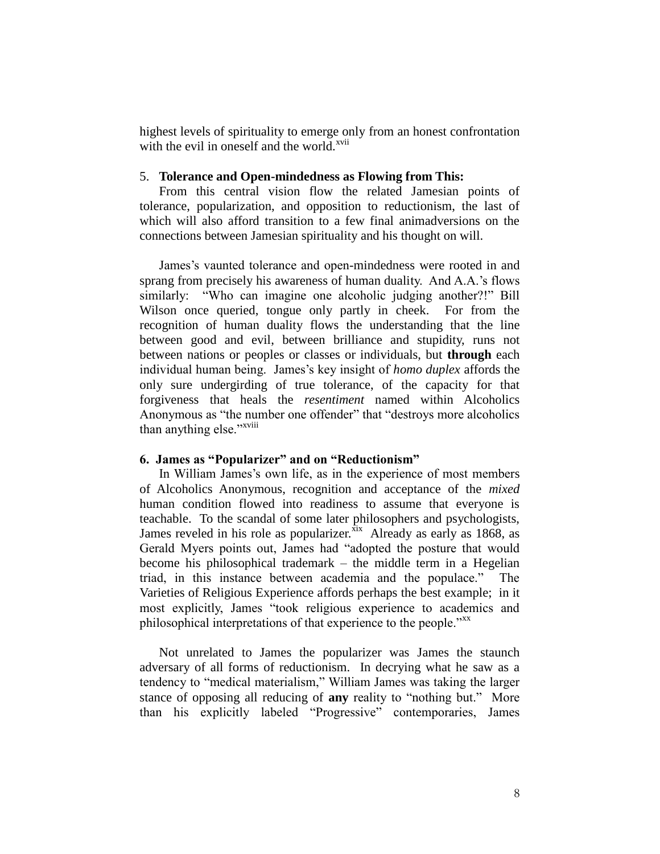highest levels of spirituality to emerge only from an honest confrontation with the evil in oneself and the world.<sup>xvii</sup>

## 5. **Tolerance and Open-mindedness as Flowing from This:**

From this central vision flow the related Jamesian points of tolerance, popularization, and opposition to reductionism, the last of which will also afford transition to a few final animadversions on the connections between Jamesian spirituality and his thought on will.

James's vaunted tolerance and open-mindedness were rooted in and sprang from precisely his awareness of human duality. And A.A.'s flows similarly: "Who can imagine one alcoholic judging another?!" Bill Wilson once queried, tongue only partly in cheek. For from the recognition of human duality flows the understanding that the line between good and evil, between brilliance and stupidity, runs not between nations or peoples or classes or individuals, but **through** each individual human being. James's key insight of *homo duplex* affords the only sure undergirding of true tolerance, of the capacity for that forgiveness that heals the *resentiment* named within Alcoholics Anonymous as "the number one offender" that "destroys more alcoholics than anything else."<sup>xviii</sup>

## **6. James as "Popularizer" and on "Reductionism"**

In William James's own life, as in the experience of most members of Alcoholics Anonymous, recognition and acceptance of the *mixed* human condition flowed into readiness to assume that everyone is teachable. To the scandal of some later philosophers and psychologists, James reveled in his role as popularizer. $\frac{\overline{x}}{1}$  Already as early as 1868, as Gerald Myers points out, James had "adopted the posture that would become his philosophical trademark – the middle term in a Hegelian triad, in this instance between academia and the populace." The Varieties of Religious Experience affords perhaps the best example; in it most explicitly, James "took religious experience to academics and philosophical interpretations of that experience to the people."<sup>xx</sup>

Not unrelated to James the popularizer was James the staunch adversary of all forms of reductionism. In decrying what he saw as a tendency to "medical materialism," William James was taking the larger stance of opposing all reducing of **any** reality to "nothing but." More than his explicitly labeled "Progressive" contemporaries, James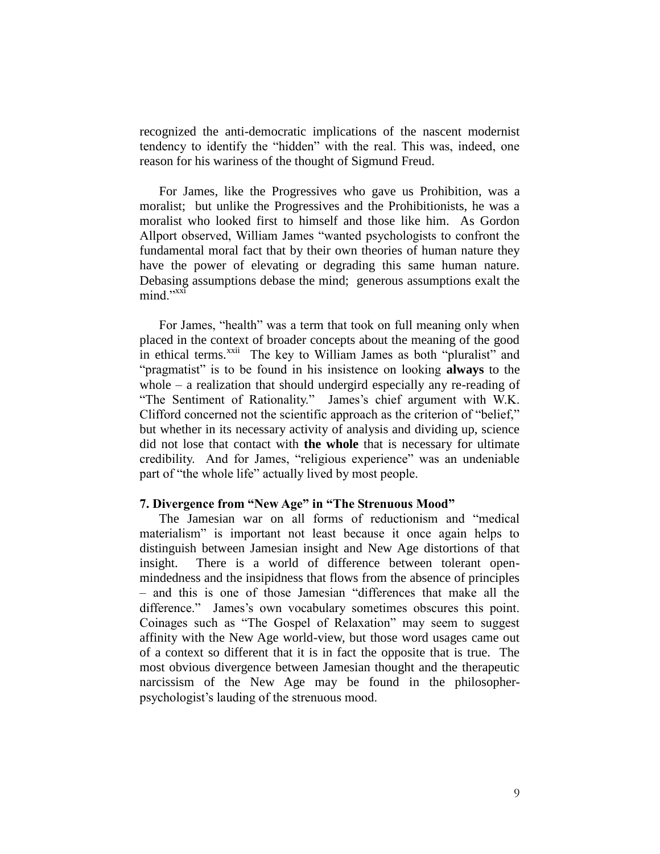recognized the anti-democratic implications of the nascent modernist tendency to identify the "hidden" with the real. This was, indeed, one reason for his wariness of the thought of Sigmund Freud.

For James, like the Progressives who gave us Prohibition, was a moralist; but unlike the Progressives and the Prohibitionists, he was a moralist who looked first to himself and those like him. As Gordon Allport observed, William James "wanted psychologists to confront the fundamental moral fact that by their own theories of human nature they have the power of elevating or degrading this same human nature. Debasing assumptions debase the mind; generous assumptions exalt the mind."<sup>xxi</sup>

For James, "health" was a term that took on full meaning only when placed in the context of broader concepts about the meaning of the good in ethical terms.<sup>xxii</sup> The key to William James as both "pluralist" and "pragmatist" is to be found in his insistence on looking **always** to the whole – a realization that should undergird especially any re-reading of "The Sentiment of Rationality." James's chief argument with W.K. Clifford concerned not the scientific approach as the criterion of "belief," but whether in its necessary activity of analysis and dividing up, science did not lose that contact with **the whole** that is necessary for ultimate credibility. And for James, "religious experience" was an undeniable part of "the whole life" actually lived by most people.

## **7. Divergence from "New Age" in "The Strenuous Mood"**

The Jamesian war on all forms of reductionism and "medical materialism" is important not least because it once again helps to distinguish between Jamesian insight and New Age distortions of that insight. There is a world of difference between tolerant openmindedness and the insipidness that flows from the absence of principles – and this is one of those Jamesian "differences that make all the difference." James's own vocabulary sometimes obscures this point. Coinages such as "The Gospel of Relaxation" may seem to suggest affinity with the New Age world-view, but those word usages came out of a context so different that it is in fact the opposite that is true. The most obvious divergence between Jamesian thought and the therapeutic narcissism of the New Age may be found in the philosopherpsychologist's lauding of the strenuous mood.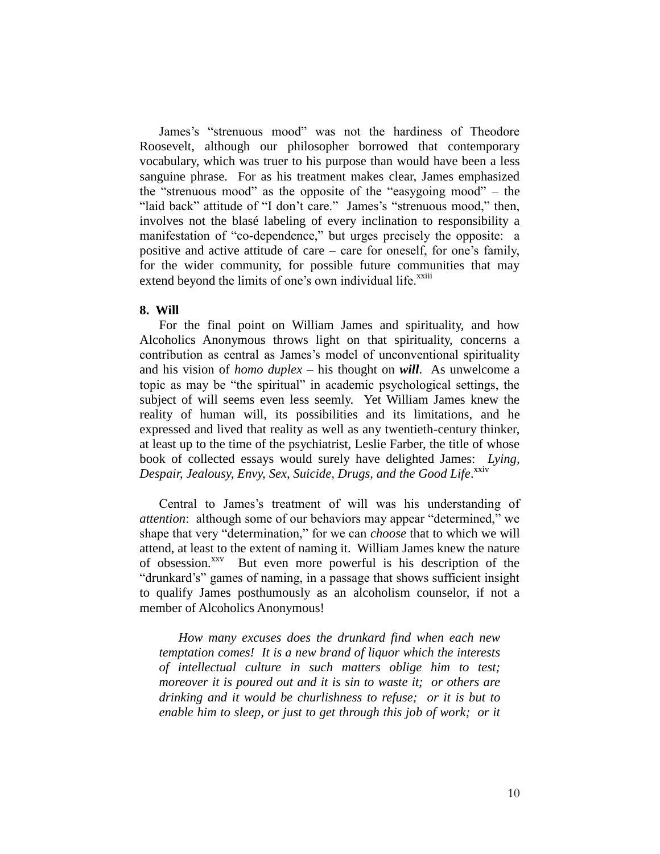James's "strenuous mood" was not the hardiness of Theodore Roosevelt, although our philosopher borrowed that contemporary vocabulary, which was truer to his purpose than would have been a less sanguine phrase. For as his treatment makes clear, James emphasized the "strenuous mood" as the opposite of the "easygoing mood" – the "laid back" attitude of "I don't care." James's "strenuous mood," then, involves not the blasé labeling of every inclination to responsibility a manifestation of "co-dependence," but urges precisely the opposite: a positive and active attitude of care – care for oneself, for one's family, for the wider community, for possible future communities that may extend beyond the limits of one's own individual life.<sup>xxiii</sup>

# **8. Will**

For the final point on William James and spirituality, and how Alcoholics Anonymous throws light on that spirituality, concerns a contribution as central as James's model of unconventional spirituality and his vision of *homo duplex* – his thought on *will*. As unwelcome a topic as may be "the spiritual" in academic psychological settings, the subject of will seems even less seemly. Yet William James knew the reality of human will, its possibilities and its limitations, and he expressed and lived that reality as well as any twentieth-century thinker, at least up to the time of the psychiatrist, Leslie Farber, the title of whose book of collected essays would surely have delighted James: *Lying,*  Despair, Jealousy, Envy, Sex, Suicide, Drugs, and the Good Life.<sup>xxiv</sup>

Central to James's treatment of will was his understanding of *attention*: although some of our behaviors may appear "determined," we shape that very "determination," for we can *choose* that to which we will attend, at least to the extent of naming it. William James knew the nature of obsession.<sup>xxv</sup> But even more powerful is his description of the "drunkard's" games of naming, in a passage that shows sufficient insight to qualify James posthumously as an alcoholism counselor, if not a member of Alcoholics Anonymous!

*How many excuses does the drunkard find when each new temptation comes! It is a new brand of liquor which the interests of intellectual culture in such matters oblige him to test; moreover it is poured out and it is sin to waste it; or others are drinking and it would be churlishness to refuse; or it is but to enable him to sleep, or just to get through this job of work; or it*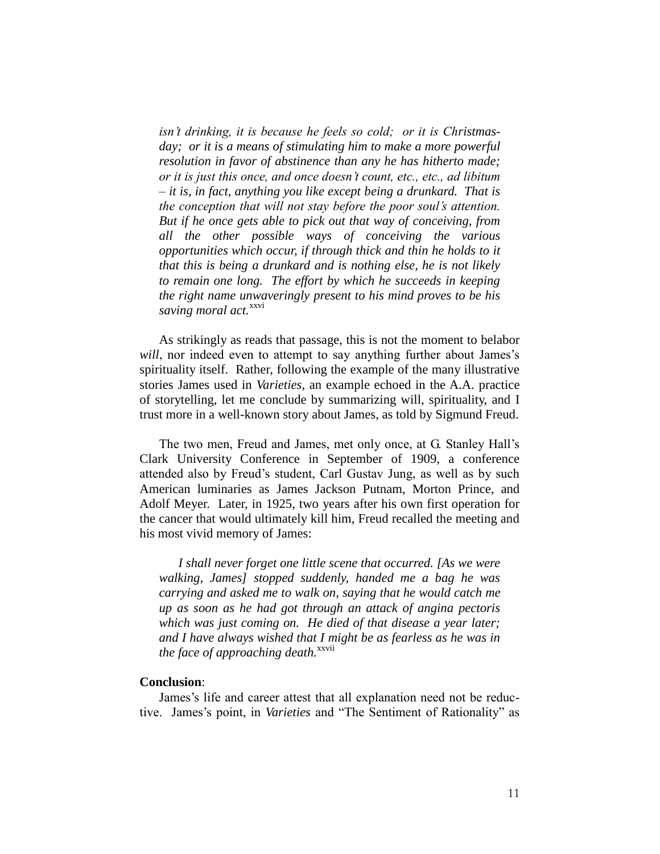*isn't drinking, it is because he feels so cold; or it is Christmasday; or it is a means of stimulating him to make a more powerful resolution in favor of abstinence than any he has hitherto made; or it is just this once, and once doesn't count, etc., etc., ad libitum – it is, in fact, anything you like except being a drunkard. That is the conception that will not stay before the poor soul's attention. But if he once gets able to pick out that way of conceiving, from all the other possible ways of conceiving the various opportunities which occur, if through thick and thin he holds to it that this is being a drunkard and is nothing else, he is not likely to remain one long. The effort by which he succeeds in keeping the right name unwaveringly present to his mind proves to be his saving moral act.*<sup>xxvi</sup>

As strikingly as reads that passage, this is not the moment to belabor *will*, nor indeed even to attempt to say anything further about James's spirituality itself. Rather, following the example of the many illustrative stories James used in *Varieties*, an example echoed in the A.A. practice of storytelling, let me conclude by summarizing will, spirituality, and I trust more in a well-known story about James, as told by Sigmund Freud.

The two men, Freud and James, met only once, at G. Stanley Hall's Clark University Conference in September of 1909, a conference attended also by Freud's student, Carl Gustav Jung, as well as by such American luminaries as James Jackson Putnam, Morton Prince, and Adolf Meyer. Later, in 1925, two years after his own first operation for the cancer that would ultimately kill him, Freud recalled the meeting and his most vivid memory of James:

*I shall never forget one little scene that occurred. [As we were walking, James] stopped suddenly, handed me a bag he was carrying and asked me to walk on, saying that he would catch me up as soon as he had got through an attack of angina pectoris which was just coming on. He died of that disease a year later; and I have always wished that I might be as fearless as he was in the face of approaching death.*<sup>xxvii</sup>

## **Conclusion**:

James's life and career attest that all explanation need not be reductive. James's point, in *Varieties* and "The Sentiment of Rationality" as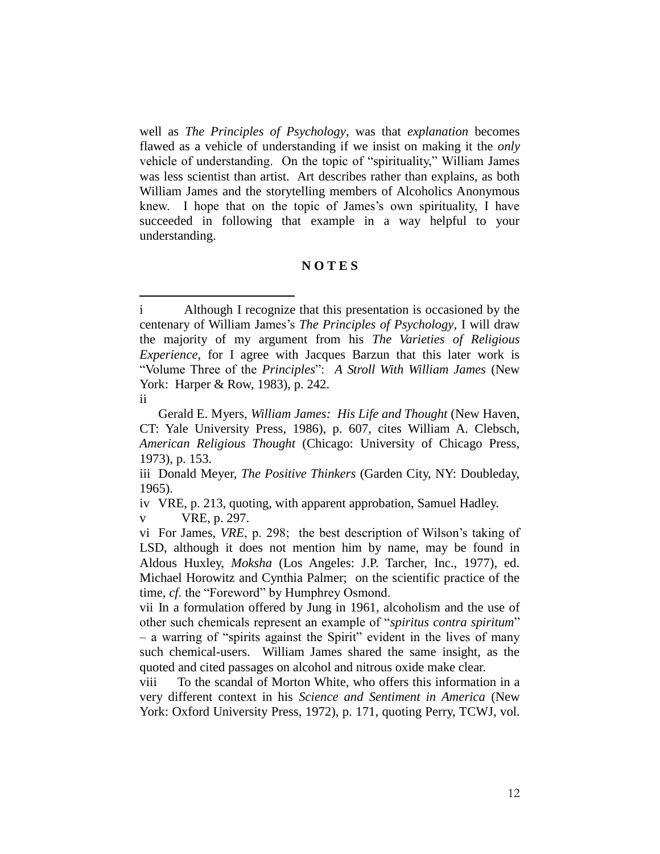well as *The Principles of Psychology*, was that *explanation* becomes flawed as a vehicle of understanding if we insist on making it the *only* vehicle of understanding. On the topic of "spirituality," William James was less scientist than artist. Art describes rather than explains, as both William James and the storytelling members of Alcoholics Anonymous knew. I hope that on the topic of James's own spirituality, I have succeeded in following that example in a way helpful to your understanding.

# **N O T E S**

 $\overline{a}$ 

v VRE, p. 297.

i Although I recognize that this presentation is occasioned by the centenary of William James's *The Principles of Psychology*, I will draw the majority of my argument from his *The Varieties of Religious Experience*, for I agree with Jacques Barzun that this later work is "Volume Three of the *Principles*": *A Stroll With William James* (New York: Harper & Row, 1983), p. 242.

ii

Gerald E. Myers, *William James: His Life and Thought* (New Haven, CT: Yale University Press, 1986), p. 607, cites William A. Clebsch, *American Religious Thought* (Chicago: University of Chicago Press, 1973), p. 153.

iii Donald Meyer, *The Positive Thinkers* (Garden City, NY: Doubleday, 1965).

iv VRE, p. 213, quoting, with apparent approbation, Samuel Hadley.

vi For James, *VRE*, p. 298; the best description of Wilson's taking of LSD, although it does not mention him by name, may be found in Aldous Huxley, *Moksha* (Los Angeles: J.P. Tarcher, Inc., 1977), ed. Michael Horowitz and Cynthia Palmer; on the scientific practice of the time, *cf*. the "Foreword" by Humphrey Osmond.

vii In a formulation offered by Jung in 1961, alcoholism and the use of other such chemicals represent an example of "*spiritus contra spiritum*" – a warring of "spirits against the Spirit" evident in the lives of many such chemical-users. William James shared the same insight, as the quoted and cited passages on alcohol and nitrous oxide make clear.

viii To the scandal of Morton White, who offers this information in a very different context in his *Science and Sentiment in America* (New York: Oxford University Press, 1972), p. 171, quoting Perry, TCWJ, vol.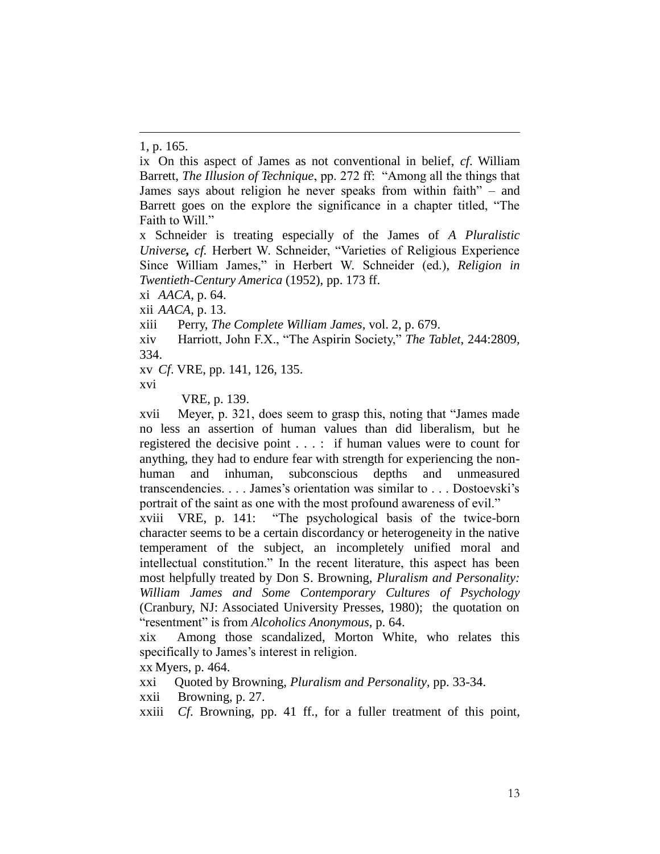-

ix On this aspect of James as not conventional in belief, *cf*. William Barrett, *The Illusion of Technique*, pp. 272 ff: "Among all the things that James says about religion he never speaks from within faith" – and Barrett goes on the explore the significance in a chapter titled, "The Faith to Will."

x Schneider is treating especially of the James of *A Pluralistic Universe, cf.* Herbert W. Schneider, "Varieties of Religious Experience Since William James," in Herbert W. Schneider (ed.), *Religion in Twentieth-Century America* (1952), pp. 173 ff.

xi *AACA*, p. 64.

xii *AACA*, p. 13.

xiii Perry, *The Complete William James*, vol. 2, p. 679.

xiv Harriott, John F.X., "The Aspirin Society," *The Tablet*, 244:2809, 334.

xv *Cf*. VRE, pp. 141, 126, 135.

xvi

VRE, p. 139.

xvii Meyer, p. 321, does seem to grasp this, noting that "James made no less an assertion of human values than did liberalism, but he registered the decisive point . . . : if human values were to count for anything, they had to endure fear with strength for experiencing the nonhuman and inhuman, subconscious depths and unmeasured transcendencies. . . . James's orientation was similar to . . . Dostoevski's portrait of the saint as one with the most profound awareness of evil."

xviii VRE, p. 141: "The psychological basis of the twice-born character seems to be a certain discordancy or heterogeneity in the native temperament of the subject, an incompletely unified moral and intellectual constitution." In the recent literature, this aspect has been most helpfully treated by Don S. Browning, *Pluralism and Personality: William James and Some Contemporary Cultures of Psychology* (Cranbury, NJ: Associated University Presses, 1980); the quotation on "resentment" is from *Alcoholics Anonymous*, p. 64.

xix Among those scandalized, Morton White, who relates this specifically to James's interest in religion.

xx Myers, p. 464.

xxi Quoted by Browning, *Pluralism and Personality*, pp. 33-34.

xxii Browning, p. 27.

xxiii *Cf*. Browning, pp. 41 ff., for a fuller treatment of this point,

<sup>1,</sup> p. 165.